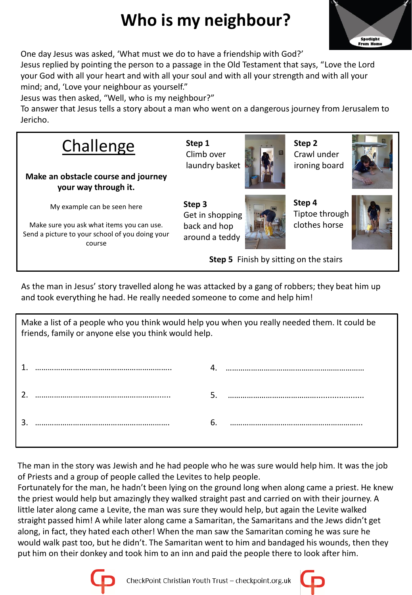## **Who is my neighbour?**



One day Jesus was asked, 'What must we do to have a friendship with God?'

Jesus replied by pointing the person to a passage in the Old Testament that says, "Love the Lord your God with all your heart and with all your soul and with all your strength and with all your mind; and, 'Love your neighbour as yourself."

Jesus was then asked, "Well, who is my neighbour?"

To answer that Jesus tells a story about a man who went on a dangerous journey from Jerusalem to Jericho.



As the man in Jesus' story travelled along he was attacked by a gang of robbers; they beat him up and took everything he had. He really needed someone to come and help him!

| Make a list of a people who you think would help you when you really needed them. It could be<br>friends, family or anyone else you think would help. |  |    |  |
|-------------------------------------------------------------------------------------------------------------------------------------------------------|--|----|--|
|                                                                                                                                                       |  |    |  |
|                                                                                                                                                       |  |    |  |
|                                                                                                                                                       |  | 6. |  |

The man in the story was Jewish and he had people who he was sure would help him. It was the job of Priests and a group of people called the Levites to help people.

Fortunately for the man, he hadn't been lying on the ground long when along came a priest. He knew the priest would help but amazingly they walked straight past and carried on with their journey. A little later along came a Levite, the man was sure they would help, but again the Levite walked straight passed him! A while later along came a Samaritan, the Samaritans and the Jews didn't get along, in fact, they hated each other! When the man saw the Samaritan coming he was sure he would walk past too, but he didn't. The Samaritan went to him and bandaged his wounds, then they put him on their donkey and took him to an inn and paid the people there to look after him.